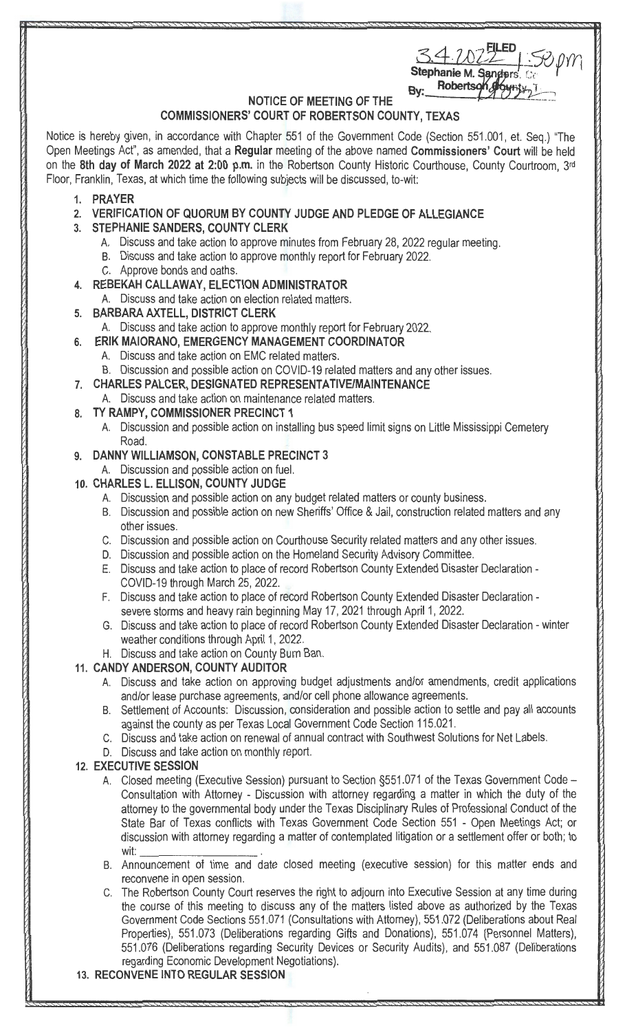| 54.7022                                    | $70$ <i>JYYY</i> |
|--------------------------------------------|------------------|
| Stephanie M. Sanders. Co<br><b>Roberts</b> |                  |

## **NOTICE OF MEETING OF THE**

## **COMMISSIONERS' COURT OF ROBERTSON COUNTY, TEXAS**

Notice is hereby given, in accordance with Chapter 551 of the Government Code (Section 551.001, et. Seq.) "The Open Meetings Act", as amended, that a **Regular** meeting of the above named **Commissioners' Court** will be held on the **8th day of March 2022 at 2:00 p.m.** in the Robertson County Historic Courthouse, County Courtroom, 3rd Floor, Franklin, Texas, at which time the following subjects will be discussed, to-wit:

- **1. PRAYER**
- **2. VERIFICATION OF QUORUM BY COUNTY JUDGE AND PLEDGE OF ALLEGIANCE**
- **3. STEPHANIE SANDERS, COUNTY CLERK** 
	- A. Discuss and take action to approve minutes from February 28, 2022 regular meeting.
	- B. Discuss and take action to approve monthly report for February 2022.
	- C. Approve bonds and oaths.
- **4. REBEKAH CALLAWAY, ELECTION ADMINISTRATOR** 
	- A. Discuss and take action on election related matters.
- **5. BARBARA AXTELL, DISTRICT CLERK** 
	- A. Discuss and take action to approve monthly report for February 2022.
- **6. ERIK MAIORANO, EMERGENCY MANAGEMENT COORDINATOR** 
	- A. Discuss and take action on EMC related matters.
	- B. Discussion and possible action on COVID-19 related matters and any other issues.
- **7. CHARLES PALCER, DESIGNATED REPRESENTATIVE/MAINTENANCE** 
	- A. Discuss and take action on maintenance related matters.
- **8. TY RAMPY, COMMISSIONER PRECINCT 1** 
	- A. Discussion and possible action on installing bus speed limit signs on Little Mississippi Cemetery Road.

## **9. DANNY WILLIAMSON, CONSTABLE PRECINCT 3**

- A. Discussion and possible action on fuel.
- **10. CHARLES L. ELLISON, COUNTY JUDGE** 
	- A. Discussion and possible action on any budget related matters or county business.
	- B. Discussion and possible action on new Sheriffs' Office & Jail, construction related matters and any other issues.
	- C. Discussion and possible action on Courthouse Security related matters and any other issues.
	- D. Discussion and possible action on the Homeland Security Advisory Committee.
	- E. Discuss and take action to place of record Robertson County Extended Disaster Declaration COVID-19 through March 25, 2022.
	- F. Discuss and take action to place of record Robertson County Extended Disaster Declaration severe storms and heavy rain beginning May 17, 2021 through April 1, 2022.
	- G. Discuss and take action to place of record Robertson County Extended Disaster Declaration winter weather conditions through April 1, 2022.
	- H. Discuss and take action on County Burn Ban.

## **11. CANDY ANDERSON, COUNTY AUDITOR**

- A. Discuss and take action on approving budget adjustments and/or amendments, credit applications and/or lease purchase agreements, and/or cell phone allowance agreements.
- B. Settlement of Accounts: Discussior, consideration and possible action to settle and pay all accounts against the county as per Texas Local Government Code Section 115.021.
- C. Discuss and take action on renewal of annual contract with Southwest Solutions for Net Labels.
- D. Discuss and take action on monthly report.

## **12. EXECUTIVE SESSION**

- A. Closed meeting (Executive Session) pursuant to Section §551.071 of the Texas Government Code -Consultation with Attorney - Discussion with attorney regarding a matter in which the duty of the attorney to the governmental body under the Texas Disciplinary Rules of Professional Conduct of the State Bar of Texas conflicts with Texas Government Code Section 551 - Open Meetings Act; or discussion with attorney regarding a matter of contemplated litigation or a settlement offer or both; to wit: \_ \_\_\_\_\_\_ \_
- B. Announcement of time and date closed meeting (executive session) for this matter ends and reconvene in open session.
- C. The Robertson County Court reserves the right to adjourn into Executive Session at any time during the course of this meeting to discuss any of the matters listed above as authorized by the Texas Government Code Sections 551 .071 (Consultations with Attorney), 551 .072 (Deliberations about Real Properties), 551.073 (Deliberations regarding Gifts and Donations), 551.074 (Personnel Matters), 551.076 (Deliberations regarding Security Devices or Security Audits), and 551 .087 (Deliberations regarding Economic Development Negotiations).
- **13. RECONVENE INTO REGULAR SESSION**